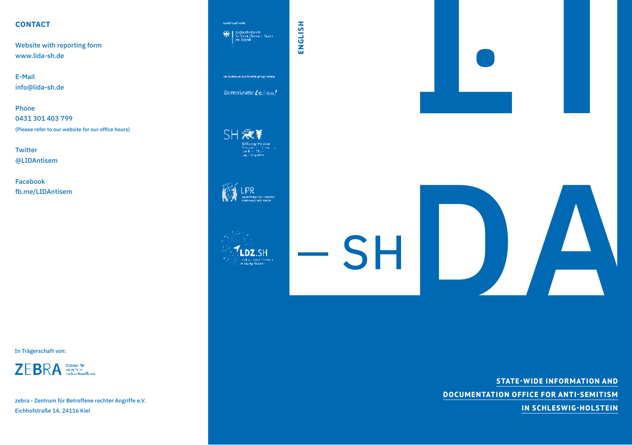## **CONTACT**

Website with reporting form www.lida-sh.de

E-Mail info@lida-sh.de

Phone 0431 301 403 799 (Please refer to our website for our office hours)

**Twitter** @LIDAntisem

Facebook fb.me/LIDAntisem

In Trägerschaft von:



zebra - Zentrum für Betroffene rechter Angriffe e.V. Eichhofstraße 14, 24116 Kiel



**STATE-WIDE INFORMATION AND DOCUMENTATION OFFICE FOR ANTI-SEMITISM IN SCHLESWIG-HOLSTEIN**